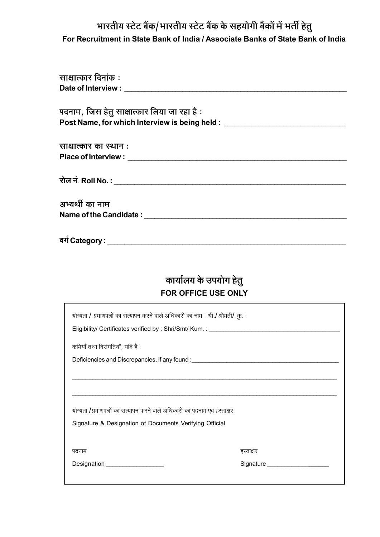## भारतीय स्टेट बैंक/भारतीय स्टेट बैंक के सहयोगी बैंकों में भर्ती हेतु For Recruitment in State Bank of India / Associate Banks of State Bank of India

# कार्यालय के उपयोग हेतु FOR OFFICE USE ONLY

| योग्यता / प्रमाणपत्रों का सत्यापन करने वाले अधिकारी का नाम : श्री./ श्रीमती/ क़ु. :                                                   |           |  |  |  |
|---------------------------------------------------------------------------------------------------------------------------------------|-----------|--|--|--|
| कमियाँ तथा विसंगतियाँ, यदि हैं :<br>Deficiencies and Discrepancies, if any found : __________________________________                 |           |  |  |  |
|                                                                                                                                       |           |  |  |  |
| योग्यता / प्रमाणपत्रों का सत्यापन करने वाले अधिकारी का पदनाम एवं हस्ताक्षर<br>Signature & Designation of Documents Verifying Official |           |  |  |  |
| पदनाम<br>Designation ___________________                                                                                              | हस्ताक्षर |  |  |  |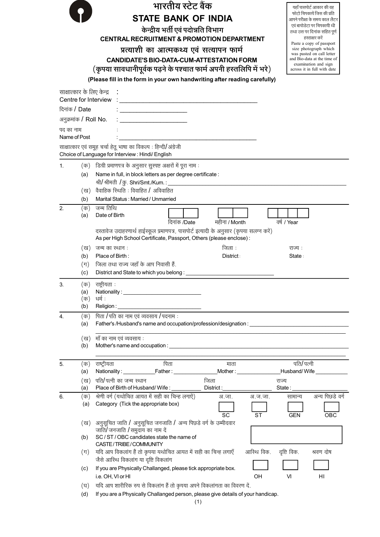|                            |                | भारतीय स्टेट बैंक                                                                                                                                             |                                                   |                 | यहाँ पासपोर्ट आकार की वह                                   |
|----------------------------|----------------|---------------------------------------------------------------------------------------------------------------------------------------------------------------|---------------------------------------------------|-----------------|------------------------------------------------------------|
|                            |                | <b>STATE BANK OF INDIA</b>                                                                                                                                    |                                                   |                 | फोटो चिपकायें जिस की प्रति<br>आपने परीक्षा के समय काल लैटर |
|                            |                | केन्द्रीय भर्ती एवं पदोन्नति विभाग                                                                                                                            |                                                   |                 | एवं बायोडेटा पर चिपकायी थी                                 |
|                            |                |                                                                                                                                                               | तथा उस पर दिनांक सहित पूर्ण<br>हस्ताक्षर करें     |                 |                                                            |
|                            |                |                                                                                                                                                               | Paste a copy of passport<br>size photograph which |                 |                                                            |
|                            |                | प्रत्याशी का आत्मकथ्य एवं सत्यापन फार्म<br><b>CANDIDATE'S BIO-DATA-CUM-ATTESTATION FORM</b>                                                                   |                                                   |                 | was pasted on call letter<br>and Bio-data at the time of   |
|                            |                | (कृपया सावधानीपूर्वक पढ़ने के पश्चात फार्म अपनी हस्तलिपि में भरे)                                                                                             |                                                   |                 | examination and sign<br>across it in full with date        |
|                            |                | (Please fill in the form in your own handwriting after reading carefully)                                                                                     |                                                   |                 |                                                            |
|                            |                |                                                                                                                                                               |                                                   |                 |                                                            |
| साक्षात्कार के लिए केन्द्र |                | Centre for Interview                                                                                                                                          |                                                   |                 |                                                            |
| दिनांक / Date              |                | <u> 1980 - Johann Barbara, martxa alemaniar amerikan a</u>                                                                                                    |                                                   |                 |                                                            |
| अनुक्रमांक / Roll No.      |                |                                                                                                                                                               |                                                   |                 |                                                            |
|                            |                |                                                                                                                                                               |                                                   |                 |                                                            |
| पद का नाम<br>Name of Post  |                |                                                                                                                                                               |                                                   |                 |                                                            |
|                            |                | साक्षात्कार एवं समूह चर्चा हेतू भाषा का विकल्प : हिन्दी/अंग्रेजी                                                                                              |                                                   |                 |                                                            |
|                            |                | Choice of Language for Interview: Hindi/ English                                                                                                              |                                                   |                 |                                                            |
| 1.                         | (क)            | डिग्री प्रमाणपत्र के अनुसार सुस्पष्ट अक्षरों में पूरा नाम :                                                                                                   |                                                   |                 |                                                            |
|                            | (a)            | Name in full, in block letters as per degree certificate :                                                                                                    |                                                   |                 |                                                            |
|                            |                | श्री/श्रीमती / कु. Shri/Smt./Kum.: ______                                                                                                                     |                                                   |                 |                                                            |
|                            | (ख)            | वैवाहिक स्थिति : विवाहित / अविवाहित                                                                                                                           |                                                   |                 |                                                            |
| 2.                         | (b)<br>(क)     | Marital Status: Married / Unmarried<br>जन्म तिथि                                                                                                              |                                                   |                 |                                                            |
|                            | (a)            | Date of Birth                                                                                                                                                 |                                                   |                 |                                                            |
|                            |                | दिनांक /Date                                                                                                                                                  | महीना / Month                                     | वर्ष / Year     |                                                            |
|                            |                | दस्तावेज उदाहरणार्थ हाईस्कूल प्रमाणपत्र, पासपोर्ट इत्यादी के अनुसार (कृपया सलग्न करें)<br>As per High School Certificate, Passport, Others (please enclose) : |                                                   |                 |                                                            |
|                            | (ख)            | जन्म का स्थान :                                                                                                                                               | जिला :                                            | राज्य :         |                                                            |
|                            | (b)            | Place of Birth:                                                                                                                                               | District:                                         | State:          |                                                            |
|                            | $(\pi)$        | जिला तथा राज्य जहाँ के आप निवासी हैं.                                                                                                                         |                                                   |                 |                                                            |
|                            | (c)            | District and State to which you belong:                                                                                                                       |                                                   |                 |                                                            |
| 3.                         | (क)            | राष्ट्रीयता:                                                                                                                                                  |                                                   |                 |                                                            |
|                            | (a)<br>(क)     | धर्म :                                                                                                                                                        |                                                   |                 |                                                            |
|                            | (b)            | Religion:                                                                                                                                                     |                                                   |                 |                                                            |
| 4.                         | (क)            | पिता / पति का नाम एवं व्यवसाय / पदनाम :                                                                                                                       |                                                   |                 |                                                            |
|                            | (a)            | Father's /Husband's name and occupation/profession/designation: ___________________________________                                                           |                                                   |                 |                                                            |
|                            | (ख)            | माँ का नाम एवं व्यवसाय :                                                                                                                                      |                                                   |                 |                                                            |
|                            | (b)            |                                                                                                                                                               |                                                   |                 |                                                            |
|                            |                |                                                                                                                                                               |                                                   |                 |                                                            |
| 5.                         | (क)            | पिता<br>राष्ट्रीयता                                                                                                                                           | माता                                              | पति/पत्नी       |                                                            |
|                            | (a)            | Nationality: ______________Father: __________________Mother: __________________Husband/Wife _____________                                                     |                                                   |                 |                                                            |
|                            | (ख)<br>(a)     | पति/पत्नी का जन्म स्थान<br>Place of Birth of Husband/Wife:                                                                                                    | जिला<br>District:                                 | राज्य<br>State: |                                                            |
| 6.                         | (क)            | श्रेणी वर्ग (यथोचित आयत में सही का चिन्ह लगाऐं)                                                                                                               | अ.जा.<br>अ.ज.जा.                                  | सामान्य         | अन्य पिछडे वर्ग                                            |
|                            | (a)            | Category (Tick the appropriate box)                                                                                                                           |                                                   |                 |                                                            |
|                            |                |                                                                                                                                                               | SC<br>SТ                                          | <b>GEN</b>      | OBC                                                        |
|                            | (ख)            | अनुसूचित जाति / अनुसूचित जनजाति / अन्य पिछडे वर्ग के उम्मीदवार<br>जाति/ जनजाति / समुदाय का नाम दें                                                            |                                                   |                 |                                                            |
|                            | (b)            | SC / ST / OBC candidates state the name of                                                                                                                    |                                                   |                 |                                                            |
|                            |                | CASTE/TRIBE/COMMUNITY                                                                                                                                         |                                                   |                 |                                                            |
|                            | $(\mathbb{T})$ | यदि आप विकलांग हैं तो कृपया यथोचित आयत में सही का चिन्ह लगाएँ                                                                                                 | आस्थि विक.                                        | दृष्टि विक.     | श्रवण दोष                                                  |
|                            | (c)            | जैसे आस्थि विकलांग या दृष्टि विकलांग<br>If you are Physically Challanged, please tick appropriate box.                                                        |                                                   |                 |                                                            |
|                            |                | i.e. OH, VI or HI                                                                                                                                             | OH                                                | VI              | HI                                                         |
|                            | (घ)            | यदि आप शारीरिक रुप से विकलांग हैं तो कृपया अपने विकलांगता का विवरण दें.                                                                                       |                                                   |                 |                                                            |
|                            | (d)            | If you are a Physically Challanged person, please give details of your handicap.                                                                              |                                                   |                 |                                                            |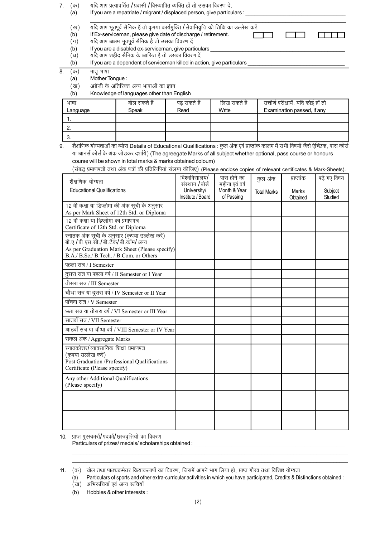7.  $(\overline{\Phi})$ यदि आप प्रत्यावर्तित /प्रवासी /विस्थापित व्यक्ति हों तो उसका विवरण दें.

| (a)      | If you are a repatriate / migrant / displaced person, give particulars :                                                                               |  |
|----------|--------------------------------------------------------------------------------------------------------------------------------------------------------|--|
| ख<br>(b) | यदि आप भूतपूर्व सैनिक हैं तो कृपया कार्यमुक्ति / सेवानिवृत्ति की तिथि का उल्लेख करें.<br>If Ex-serviceman, please give date of discharge / retirement. |  |
| (ग)      | यदि आप अक्षम भूतपूर्व सैनिक है तो उसका विवरण दें                                                                                                       |  |
| (b)      | If you are a disabled ex-serviceman, give particulars                                                                                                  |  |
| (घ)      | यदि आप शहीद सैनिक के आश्रित है तो उसका विवरण दें                                                                                                       |  |
|          |                                                                                                                                                        |  |

If you are a dependent of serviceman killed in action, give particulars  $(b)$ 

8.  $(\overline{q}$ मातृ भाषा

> $(a)$ Mother Tongue:

अंग्रेंजी के अतिरिक्त अन्य भाषाओं का ज्ञान (ख)

 $(b)$ Knowledge of languages other than English

| भाषा     | बोल सकते हैं | पढ सकते है | लिख सकते है | उत्तीर्ण परीक्षायें, यदि कोई हों तो |
|----------|--------------|------------|-------------|-------------------------------------|
| Language | Speak        | Read       | Write       | Examination passed, if any          |
|          |              |            |             |                                     |
|          |              |            |             |                                     |
|          |              |            |             |                                     |

शैक्षणिक योग्यताओं का ब्योरा Details of Educational Qualifications : कुल अंक एवं प्राप्तांक कालम में सभी विषयों जैसे ऐच्छिक, पास कोर्स 9. या आनर्स कोर्स के अंक जोड़कर दर्शाये) (The agreegate Marks of all subject whether optional, pass course or honours course will be shown in total marks & marks obtained coloum)

(संबद्ध प्रमाणपत्रों तथा अंक पत्रों की प्रतिलिपियां संलग्न कीजिए) (Please enclose copies of relevant certificates & Mark-Sheets).

| शैक्षणिक योग्यता<br><b>Educational Qualifications</b>                                                                                                                       | विश्वविद्यालय/<br>संस्थान /बोर्ड<br>University/<br>Institute / Board | पास होने का<br>महीना एवं वर्ष<br>Month & Year<br>of Passing | कुल अंक<br><b>Total Marks</b> | प्राप्तांक<br>Marks<br>Obtained | पढ़े गए विषय<br>Subject<br>Studied |
|-----------------------------------------------------------------------------------------------------------------------------------------------------------------------------|----------------------------------------------------------------------|-------------------------------------------------------------|-------------------------------|---------------------------------|------------------------------------|
| 12 वीं कक्षा या डिप्लोमा की अंक सूची के अनुसार<br>As per Mark Sheet of 12th Std. or Diploma                                                                                 |                                                                      |                                                             |                               |                                 |                                    |
| 12 वीं कक्षा या डिप्लोमा का प्रमाणपत्र<br>Certificate of 12th Std. or Diploma                                                                                               |                                                                      |                                                             |                               |                                 |                                    |
| स्नातक अंक सूची के अनुसार (कृपया उल्लेख करें)<br>बी.ए./बी.एस.सी./बी.टैक/बी.कॉम/अन्य<br>As per Graduation Mark Sheet (Please specify)<br>B.A./B.Sc./B.Tech./B.Com. or Others |                                                                      |                                                             |                               |                                 |                                    |
| पहला सत्र / I Semester                                                                                                                                                      |                                                                      |                                                             |                               |                                 |                                    |
| दुसरा सत्र या पहला वर्ष / II Semester or I Year                                                                                                                             |                                                                      |                                                             |                               |                                 |                                    |
| तीसरा सत्र / III Semester                                                                                                                                                   |                                                                      |                                                             |                               |                                 |                                    |
| चौथा सत्र या दूसरा वर्ष / IV Semester or II Year                                                                                                                            |                                                                      |                                                             |                               |                                 |                                    |
| पाँचवा सत्र / V Semester                                                                                                                                                    |                                                                      |                                                             |                               |                                 |                                    |
| छठा सत्र या तीसरा वर्ष / VI Semester or III Year                                                                                                                            |                                                                      |                                                             |                               |                                 |                                    |
| सातवाँ सत्र / VII Semester                                                                                                                                                  |                                                                      |                                                             |                               |                                 |                                    |
| आठवाँ सत्र या चौथा वर्ष / VIII Semester or IV Year                                                                                                                          |                                                                      |                                                             |                               |                                 |                                    |
| सकल अंक / Aggregate Marks                                                                                                                                                   |                                                                      |                                                             |                               |                                 |                                    |
| स्नातकोत्तर/व्यावसायिक शिक्षा प्रमाणपत्र<br>(कृपया उल्लेख करें)<br>Post Graduation /Professional Qualifications<br>Certificate (Please specify)                             |                                                                      |                                                             |                               |                                 |                                    |
| Any other Additional Qualifications<br>(Please specify)                                                                                                                     |                                                                      |                                                             |                               |                                 |                                    |
|                                                                                                                                                                             |                                                                      |                                                             |                               |                                 |                                    |
|                                                                                                                                                                             |                                                                      |                                                             |                               |                                 |                                    |

10. प्राप्त पुरस्कारों/पदकों/छात्रवृत्तियों का विवरण

Particulars of prizes/ medals/ scholarships obtained :

Particulars of sports and other extra-curricular activities in which you have participated, Credits & Distinctions obtained :  $(a)$ (ख) अभिरूचियाँ एवं अन्य रूचियाँ

 $(b)$ Hobbies & other interests:

<sup>11. (</sup>क) खेल तथा पाठ्यक्रमेतर क्रियाकलापों का विवरण, जिसमें आपने भाग लिया हो, प्राप्त गौरव तथा विशिष्ट योग्यता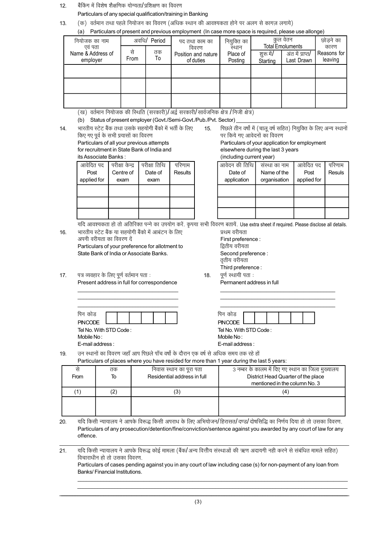बैंकिंग में विशेष शैक्षणिक योग्यता/प्रशिक्षण का विवरण  $12.$ 

Particulars of any special qualification/training in Banking

(क) वर्तमान तथा पहले नियोजन का विवरण (अधिक स्थान की आवश्यकता होने पर अलग से कागज़ लगाये) 13. coont and provisue employment (In ease more space is required, please use allone

| (d)<br>Particulars of present and previous employment (in case more space is required, please use allonge) |             |                       |                     |             |          |                         |             |
|------------------------------------------------------------------------------------------------------------|-------------|-----------------------|---------------------|-------------|----------|-------------------------|-------------|
| नियोजक का नाम                                                                                              |             | अवधि <b>/ Pe</b> riod | पद तथा काम का       | नियुक्ति का |          | कुल वेतन                | छोडने का    |
| एवं पता                                                                                                    |             |                       | विवरण               | स्थान       |          | <b>Total Emoluments</b> | कारण        |
| Name & Address of                                                                                          | से          | तक                    | Position and nature | Place of    | शरू में/ | अंत में प्राप्त/        | Reasons for |
| employer                                                                                                   | <b>From</b> | To                    | of duties           | Posting     | Starting | Last Drawn              | leaving     |
|                                                                                                            |             |                       |                     |             |          |                         |             |
|                                                                                                            |             |                       |                     |             |          |                         |             |
|                                                                                                            |             |                       |                     |             |          |                         |             |
|                                                                                                            |             |                       |                     |             |          |                         |             |
|                                                                                                            |             |                       |                     |             |          |                         |             |
|                                                                                                            |             |                       |                     |             |          |                         |             |
|                                                                                                            |             |                       |                     |             |          |                         |             |

- (ख) वर्तमान नियोजक की स्थिति (सरकारी)/अर्द्व सरकारी/सार्वजनिक क्षेत्र /निजी क्षेत्र)
- (b) Status of present employer (Govt./Semi-Govt./Pub./Pvt. Sector)
- भारतीय स्टेट बैंक तथा उसके सहयोगी बैंको में भर्ती के लिए पिछले तीन वर्षो में (चालू वर्ष सहित) नियुक्ति के लिए अन्य स्थानों 14. 15. किए गए पूर्व के सभी प्रयासों का विवरण पर किये गए आवेदनों का विवरण Particulars of all your previous attempts Particulars of your application for employment for recruitment in State Bank of India and elsewhere during the last 3 years its Associate Banks: (including current year) आवेदित पद परीक्षा केन्द्र परीक्षा तिथि परिणाम आवेदन की तिथि संस्था का नाम आवेदित पद परिणाम Post Centre of Date of Results Date of Name of the Post Resuls applied for exam application organisation applied for exam यदि आवश्यकता हो तो अतिरिक्त पन्ने का उपयोग करें. कपया सभी विवरण बतायें. Use extra sheet if required. Please disclose all details. भारतीय स्टेट बैंक या सहयोगी बैंको में आबंटन के लिए प्रथम वरीयता 16. अपनी वरीयता का विवरण दें First preference : Particulars of your preference for allotment to द्वितीय वरीयता State Bank of India or Associate Banks. Second preference : तृतीय वरीयता Third preference: 17. पत्र व्यवहार के लिए पूर्ण वर्तमान पता : पूर्ण स्थायी पता: 18. Present address in full for correspondence Permanent address in full पिन कोड पिन कोड **PINCODE PINCODE** Tel No. With STD Code: Tel No. With STD Code: Mobile No: Mobile No: E-mail address: E-mail address: उन स्थानों का विवरण जहाँ आप पिछले पाँच वर्षो के दौरान एक वर्ष से अधिक समय तक रहे हों 19. Particulars of places where you have resided for more than 1 year during the last 5 years: से तक निवास स्थान का पुरा पता 3 नम्बर के कालम में दिए गए स्थान का जिला मुख्यालय  $\overline{10}$ Residential address in full District Head Quarter of the place From mentioned in the column No. 3  $(1)$  $(2)$  $(3)$  $(4)$
- 20. यदि किसी न्यायालय ने आपके विरूद्ध किसी अपराध के लिए अभियोजन/हिरासत/दण्ड/दोषसिद्धि का निर्णय दिया हो तो उसका विवरण. Particulars of any prosecution/detention/fine/conviction/sentence against you awarded by any court of law for any offence.
- यदि किसी न्यायालय ने आपके विरूद्ध कोई मामला (बैंक/अन्य वित्तीय संस्थाओं की ऋण अदायगी नही करने से संबंधित मामले सहित)  $21.$ विचाराधीन हो तो उसका विवरण.

Particulars of cases pending against you in any court of law including case (s) for non-payment of any loan from Banks/Financial Institutions.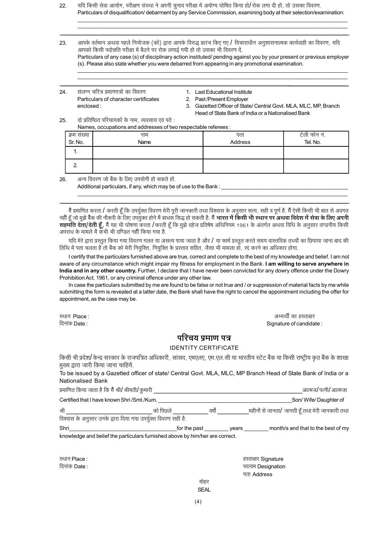- यदि किसी सेवा आयोग, परीक्षण संस्था ने अपनी चुनाव परीक्षा में अयोग्य घोषित किया हो/रोक लगा दी हो, तो उसका विवरण.  $22$ Particulars of disqualification/ debarment by any Service Commission, examining body at their selection/examination:
- 23. आपके वर्तमान अथवा पहले नियोजक (कों) द्वारा आपके विरुद्ध प्रारंभ किए गए / विचाराधीन अनुशासनात्मक कार्यवाही का विवरण, यदि आपको किसी पदोन्नति परीक्षा में बैठने पर रोक लगाई गयी हो तो उसका भी विवरण दें. Particulars of any case (s) of disciplinary action instituted/ pending against you by your present or previous employer (s). Please also state whether you were debarred from appearing in any promotional examination.
- संलग्न चरित्र प्रमाणपत्रों का विवरण 24. Particulars of character certificates enclosed:
- 1. Last Educational Institute
- 2. Past/Present Employer
- 3. Gazetted Officer of State/ Central Govt. MLA, MLC, MP, Branch Head of State Bank of India or a Nationalised Bank

दो प्रतिष्ठित परिचायकों के नाम, व्यवसाय एवं पते : 25  $m$ ationa and addresses afture

|             | Traffles, occupations and addresses of two respectable referees. |         |              |  |  |  |
|-------------|------------------------------------------------------------------|---------|--------------|--|--|--|
| क्रम संख्या | नाम                                                              | पता     | टेली फोन नं. |  |  |  |
| Sr. No.     | Name                                                             | Address | Tel. No.     |  |  |  |
|             |                                                                  |         |              |  |  |  |
|             |                                                                  |         |              |  |  |  |

#### $26$ अन्य विवरण जो बैंक के लिए उपयोगी हो सकते हों

Additional particulars, if any, which may be of use to the Bank:

मैं प्रमाणित करता / करती हूँ कि उपर्युक्त विवरण मेरी पूरी जानकारी तथा विश्वास के अनुसार सत्य, सही व पूर्ण है. मैं ऐसी किसी भी बात से अवगत नहीं हूँ जो मुझे बैंक की नौकरी के लिए उपयुक्त होने में बाधक सिद्ध हो सकती है. मैं **भारत में किसी भी स्थान पर अथवा विदेश में सेवा के लिए अपनी** सहमति देता/देती हूँ, मैं यह भी घोषणा करता /करती हूँ कि मुझे दहेज प्रतिषेष अधिनियम 1961 के अंतर्गत अथवा विधि के अनुसार दण्डनीय किसी अपराध के मामले में कभी भी दण्डित नहीं किया गया है.

यदि मेरे द्वारा प्रस्तुत किया गया विवरण गलत या असत्य पाया जाता है और / या फार्म प्रस्तुत करते समय वास्तविक तथ्यों का छिपाया जाना बाद की तिथि में पता चलता है तो बैंक को मेरी नियुक्ति, नियुक्ति के प्रस्ताव सहित, जैसा भी मामला हो, रद्द करने का अधिकार होगा.

I certify that the particulars furnished above are true, correct and complete to the best of my knowledge and belief. I am not aware of any circumstance which might impair my fitness for employment in the Bank. I am willing to serve anywhere in India and in any other country. Further, I declare that I have never been convicted for any dowry offence under the Dowry Prohibition Act, 1961, or any criminal offence under any other law.

In case the particulars submitted by me are found to be false or not true and / or suppression of material facts by me while submitting the form is revealed at a latter date, the Bank shall have the right to cancel the appointment including the offer for appointment, as the case may be.

स्थान Place: दिनांक Date :

अभ्यर्थी का हस्ताक्षर Signature of candidate:

#### परिचय प्रमाण पत्र

#### **IDENTITY CERTIFICATE**

किसी भी प्रदेश/ केन्द्र सरकार के राजपत्रित अधिकारी, सांसद, एमएलए, एम.एल.सी या भारतीय स्टेट बैंक या किसी राष्ट्रीय कृत बैंक के शाखा मुख्य द्वारा जारी किया जाना चाहियें.

To be issued by a Gazetted officer of state/ Central Govt. MLA, MLC, MP Branch Head of State Bank of India or a Nationalised Bank

| प्रमाणित किया जाता है कि मैं श्री <b>/</b> श्रीमती <b>/</b> कुमारी |           |       | आत्मज/पत्नी/आत्मजा                              |
|--------------------------------------------------------------------|-----------|-------|-------------------------------------------------|
| Certified that I have known Shri /Smt./Kum.                        |           |       | Son/Wife/Daughter of                            |
| श्री                                                               | को पिछ्ले | वर्षो | महीनों से जानता/ जानती हूँ तथा मेरी जानकारी तथा |
| विश्वास के अनुसार उनके द्वारा दिया गया उपर्युक्त विवरण सही है.     |           |       |                                                 |

Shri month/s and that to the best of my \_for the past \_ \_years \_\_\_ knowledge and belief the particulars furnished above by him/her are correct.

स्थान Place: दिनांक Date:

| हस्ताक्षर Signature |
|---------------------|
| पदनाम Designatior   |
| पता Address         |
|                     |

#### मोहर **SEAL**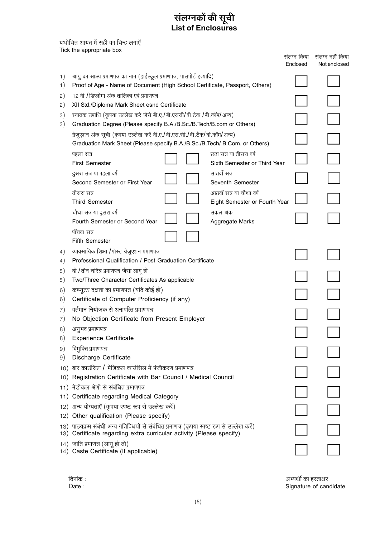# संलग्नकों की सूची<br>List of Enclosures

यथोचित आयत में सही का चिन्ह लगाएँ

|          | Tick the appropriate box                                                                                                                                          |                         |                                  |
|----------|-------------------------------------------------------------------------------------------------------------------------------------------------------------------|-------------------------|----------------------------------|
|          |                                                                                                                                                                   | संलग्न किया<br>Enclosed | संलग्न नहीं किया<br>Not enclosed |
|          |                                                                                                                                                                   |                         |                                  |
| 1)<br>1) | आयु का साक्ष्य प्रमाणपत्र का नाम (हाईस्कूल प्रमाणपत्र, पासपोर्ट इत्यादि)<br>Proof of Age - Name of Document (High School Certificate, Passport, Others)           |                         |                                  |
|          | 12 वी / डिप्लोमा अंक तालिका एवं प्रमाणपत्र                                                                                                                        |                         |                                  |
| 2)<br>2) | XII Std./Diploma Mark Sheet esnd Certificate                                                                                                                      |                         |                                  |
| 3)       | स्नातक उपाधि (कृपया उल्लेख करे जैसे बी.ए./बी.एससी/बी.टेक /बी.कॉम/अन्य)                                                                                            |                         |                                  |
| 3)       | Graduation Degree (Please specify B.A./B.Sc./B.Tech/B.com or Others)                                                                                              |                         |                                  |
|          | ग्रेजुएशन अंक सूची (कृपया उल्लेख करें बी.ए./बी.एस.सी./बी.टैक/बी.कॉम/अन्य)                                                                                         |                         |                                  |
|          | Graduation Mark Sheet (Please specify B.A./B.Sc./B.Tech/ B.Com. or Others)                                                                                        |                         |                                  |
|          | छठा सत्र या तीसरा वर्ष<br>पहला सत्र                                                                                                                               |                         |                                  |
|          | <b>First Semester</b><br>Sixth Semester or Third Year                                                                                                             |                         |                                  |
|          | सातवाँ सत्र<br>दुसरा सत्र या पहला वर्ष                                                                                                                            |                         |                                  |
|          | Second Semester or First Year<br>Seventh Semester                                                                                                                 |                         |                                  |
|          | आठवाँ सत्र या चौथा वर्ष<br>तीसरा सत्र                                                                                                                             |                         |                                  |
|          | <b>Third Semester</b><br>Eight Semester or Fourth Year                                                                                                            |                         |                                  |
|          | चौथा सत्र या दूसरा वर्ष<br>सकल अंक                                                                                                                                |                         |                                  |
|          | Fourth Semester or Second Year<br>Aggregate Marks                                                                                                                 |                         |                                  |
|          | पाँचवा सत्र                                                                                                                                                       |                         |                                  |
|          | <b>Fifth Semester</b>                                                                                                                                             |                         |                                  |
| 4)       | व्यावसायिक शिक्षा / पोस्ट ग्रेजुएशन प्रमाणपत्र<br>Professional Qualification / Post Graduation Certificate                                                        |                         |                                  |
| 4)       | दो /तीन चरित्र प्रमाणपत्र जैसा लागू हो                                                                                                                            |                         |                                  |
| 5)<br>5) | Two/Three Character Certificates As applicable                                                                                                                    |                         |                                  |
| 6)       | कम्प्यूटर दक्षता का प्रमाणपत्र (यदि कोई हो)                                                                                                                       |                         |                                  |
| 6)       | Certificate of Computer Proficiency (if any)                                                                                                                      |                         |                                  |
| 7)       | वर्तमान नियोजक से अनापत्ति प्रमाणपत्र                                                                                                                             |                         |                                  |
| 7)       | No Objection Certificate from Present Employer                                                                                                                    |                         |                                  |
| 8)       | अनुभव प्रमाणपत्र                                                                                                                                                  |                         |                                  |
| 8)       | <b>Experience Certificate</b>                                                                                                                                     |                         |                                  |
| 9)       | विमुक्ति प्रमाणपत्र                                                                                                                                               |                         |                                  |
| 9)       | Discharge Certificate                                                                                                                                             |                         |                                  |
|          | 10) बार काउंसिल / मेडिकल काउंसिल में पंजीकरण प्रमाणपत्र                                                                                                           |                         |                                  |
|          | 10) Registration Certificate with Bar Council / Medical Council                                                                                                   |                         |                                  |
|          | 11) मेडीकल श्रेणी से संबंधित प्रमाणपत्र                                                                                                                           |                         |                                  |
|          | 11) Certificate regarding Medical Category                                                                                                                        |                         |                                  |
|          | 12) अन्य योग्यताएँ (कृपया स्पष्ट रूप से उल्लेख करें)                                                                                                              |                         |                                  |
|          | 12) Other qualification (Please specify)                                                                                                                          |                         |                                  |
|          | 13) पाठयक्रम संबंधी अन्य गतिविधयों से संबंधित प्रमाणत्र (कृपया स्पष्ट रूप से उल्लेख करें)<br>13) Certificate regarding extra curricular activity (Please specify) |                         |                                  |
|          | 14) जाति प्रमाणत्र (लागू हो तो)                                                                                                                                   |                         |                                  |
|          | 14) Caste Certificate (If applicable)                                                                                                                             |                         |                                  |
|          |                                                                                                                                                                   |                         |                                  |

दिनांक :<br>Date :

अभ्यर्थी का हस्ताक्षर<br>Signature of candidate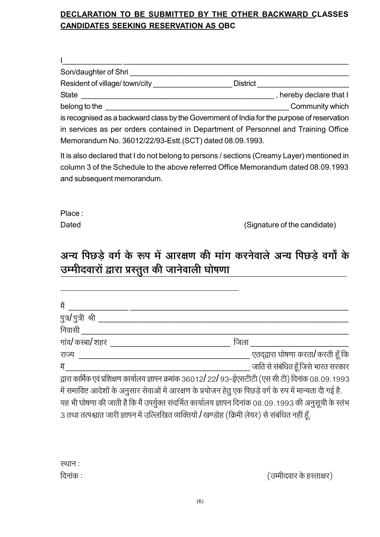## DECLARATION TO BE SUBMITTED BY THE OTHER BACKWARD CLASSES **CANDIDATES SEEKING RESERVATION AS OBC**

| Son/daughter of Shri          |                 |                         |
|-------------------------------|-----------------|-------------------------|
| Resident of village/town/city | <b>District</b> |                         |
| <b>State</b>                  |                 | , hereby declare that I |
| belong to the                 |                 | Community which         |

is recognised as a backward class by the Government of India for the purpose of reservation in services as per orders contained in Department of Personnel and Training Office Memorandum No. 36012/22/93-Estt.(SCT) dated 08.09.1993.

It is also declared that I do not belong to persons / sections (Creamy Layer) mentioned in column 3 of the Schedule to the above referred Office Memorandum dated 08,09,1993 and subsequent memorandum.

Place:

Dated

(Signature of the candidate)

# अन्य पिछडे वर्ग के रूप में आरक्षण की मांग करनेवाले अन्य पिछडे वर्गों के उम्मीदवारों द्वारा प्रस्तुत की जानेवाली घोषणा

| मैं                                                                                                         |      |                                     |
|-------------------------------------------------------------------------------------------------------------|------|-------------------------------------|
| पुत्र/पुत्री श्री ृ                                                                                         |      |                                     |
| निवासी                                                                                                      |      |                                     |
| गांव/ कस्बा/ शहर                                                                                            | जिला |                                     |
| राज्य                                                                                                       |      | एतद्द्वारा घोषणा करता/ करती हूँ कि  |
| मैं                                                                                                         |      | जाति से संबंधित हूँ जिसे भारत सरकार |
| द्वारा कार्मिक एवं प्रशिक्षण कार्यालय ज्ञापन क्रमांक 36012/22/93-ईएसटीटी (एस सी टी) दिनांक 08.09.1993       |      |                                     |
| में समाविष्ट आदेशों के अनुसार सेवाओं में आरक्षण के प्रयोजन हेतु एक पिछड़े वर्ग के रुप में मान्यता दी गई है. |      |                                     |
|                                                                                                             |      |                                     |

यह भी घोषणा की जाती है कि मैं उपर्युक्त संदर्भित कार्यालय ज्ञापन दिनांक 08.09.1993 की अनुसूची के स्तंभ 3 तथा तत्पश्चात जारी ज्ञापन में उल्लिखित व्यक्तियों / खण्डोह (क्रिमी लेयर) से संबंधित नहीं हूँ.

स्थान: दिनांक :

(उम्मीदवार के हस्ताक्षर)